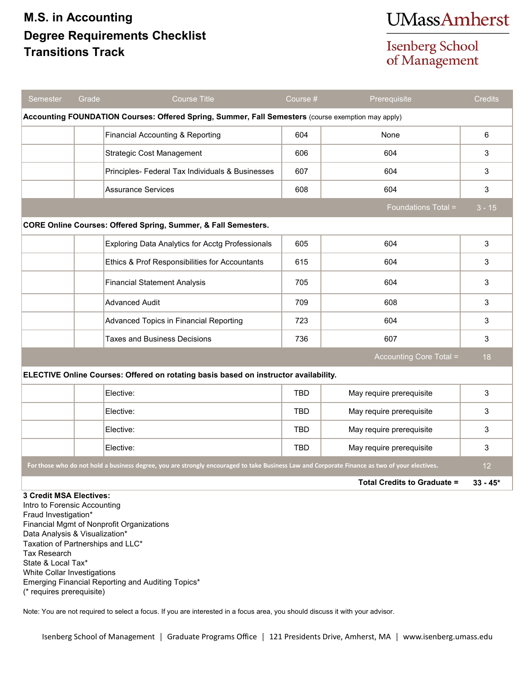## **M.S. in Accounting Degree Requirements Checklist Transitions Track**

## **UMassAmherst**

**Isenberg School** of Management

| Semester                                                                                                                                      | Grade | <b>Course Title</b>                              | Course #   | Prerequisite                       | <b>Credits</b>  |
|-----------------------------------------------------------------------------------------------------------------------------------------------|-------|--------------------------------------------------|------------|------------------------------------|-----------------|
| Accounting FOUNDATION Courses: Offered Spring, Summer, Fall Semesters (course exemption may apply)                                            |       |                                                  |            |                                    |                 |
|                                                                                                                                               |       | Financial Accounting & Reporting                 | 604        | None                               | 6               |
|                                                                                                                                               |       | <b>Strategic Cost Management</b>                 | 606        | 604                                | 3               |
|                                                                                                                                               |       | Principles- Federal Tax Individuals & Businesses | 607        | 604                                | 3               |
|                                                                                                                                               |       | <b>Assurance Services</b>                        | 608        | 604                                | 3               |
|                                                                                                                                               |       |                                                  |            | Foundations Total =                | $3 - 15$        |
| <b>CORE Online Courses: Offered Spring, Summer, &amp; Fall Semesters.</b>                                                                     |       |                                                  |            |                                    |                 |
|                                                                                                                                               |       | Exploring Data Analytics for Acctg Professionals | 605        | 604                                | 3               |
|                                                                                                                                               |       | Ethics & Prof Responsibilities for Accountants   | 615        | 604                                | 3               |
|                                                                                                                                               |       | <b>Financial Statement Analysis</b>              | 705        | 604                                | 3               |
|                                                                                                                                               |       | Advanced Audit                                   | 709        | 608                                | 3               |
|                                                                                                                                               |       | Advanced Topics in Financial Reporting           | 723        | 604                                | 3               |
|                                                                                                                                               |       | Taxes and Business Decisions                     | 736        | 607                                | 3               |
|                                                                                                                                               |       |                                                  |            | Accounting Core Total =            | 18              |
| ELECTIVE Online Courses: Offered on rotating basis based on instructor availability.                                                          |       |                                                  |            |                                    |                 |
|                                                                                                                                               |       | Elective:                                        | <b>TBD</b> | May require prerequisite           | 3               |
|                                                                                                                                               |       | Elective:                                        | <b>TBD</b> | May require prerequisite           | 3               |
|                                                                                                                                               |       | Elective:                                        | TBD        | May require prerequisite           | 3               |
|                                                                                                                                               |       | Elective:                                        | <b>TBD</b> | May require prerequisite           | 3               |
| For those who do not hold a business degree, you are strongly encouraged to take Business Law and Corporate Finance as two of your electives. |       |                                                  |            |                                    | 12 <sup>2</sup> |
|                                                                                                                                               |       |                                                  |            | <b>Total Credits to Graduate =</b> | $33 - 45*$      |
| 3 Credit MSA Electives:<br>Intro to Forensic Accounting<br>Fraud Investigation*                                                               |       |                                                  |            |                                    |                 |

Financial Mgmt of Nonprofit Organizations Data Analysis & Visualization\* Taxation of Partnerships and LLC\* Tax Research State & Local Tax\* White Collar Investigations Emerging Financial Reporting and Auditing Topics\* (\* requires prerequisite)

Note: You are not required to select a focus. If you are interested in a focus area, you should discuss it with your advisor.